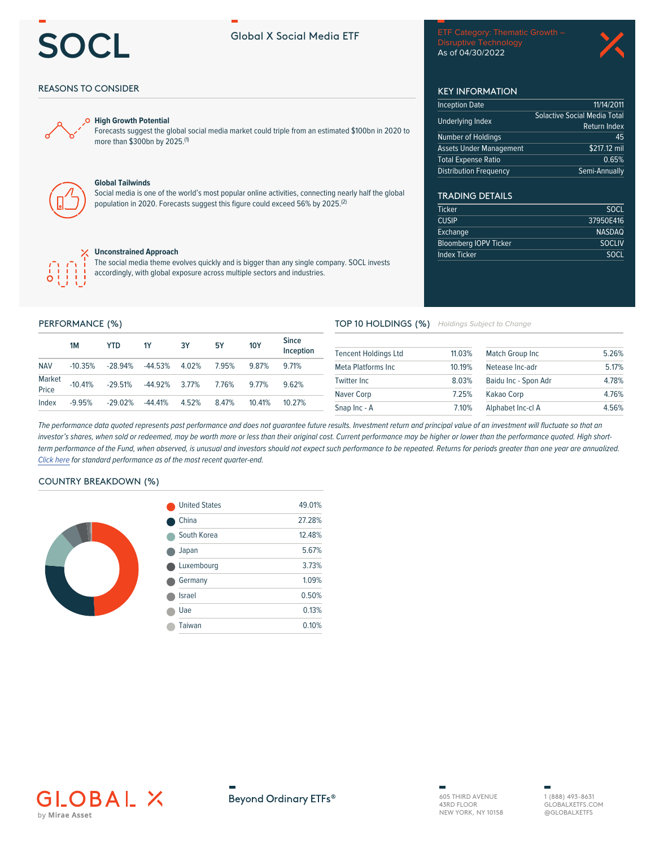# OCL

# **Global X Social Media ETF**

Disruptive Technology As of 04/30/2022

11/14/2011

 $45$ 

Return Index

 $\frac{1}{2217.12}$  mil

Semi-Annually

 $0.65%$ 

**SOCL** 

**SOCL** 

37950E416

**NASDAQ SOCLIV** 

**Solactive Social Media Total** 

**KEY INFORMATION Inception Date** 

Underlying Index

Number of Holdings

**Distribution Frequency** 

**TRADING DETAILS** 

**Bloomberg IOPV Ticker** 

**Ticker** 

**CUSIP** 

Exchange

**Index Ticker** 

**Assets Under Management Total Expense Ratio** 

# **REASONS TO CONSIDER**



#### **High Growth Potential**

Forecasts suggest the global social media market could triple from an estimated \$100bn in 2020 to more than \$300bn by 2025.(1)



# **Global Tailwinds**

Social media is one of the world's most popular online activities, connecting nearly half the global population in 2020. Forecasts suggest this figure could exceed 56% by 2025.<sup>(2)</sup>



#### **Unconstrained Approach**

The social media theme evolves quickly and is bigger than any single company. SOCL invests accordingly, with global exposure across multiple sectors and industries.

## PERFORMANCE (%)

|                 | 1M        | YTD       | <b>1Y</b> | 3Υ    | 5Υ    | <b>10Y</b> | <b>Since</b><br>Inception |
|-----------------|-----------|-----------|-----------|-------|-------|------------|---------------------------|
| <b>NAV</b>      | $-10.35%$ | $-28.94%$ | -44.53%   | 4.02% | 7.95% | 9.87%      | 9 71%                     |
| Market<br>Price | $-10.41%$ | -29.51%   | -44.92%   | 3.77% | 7.76% | 9 7 7%     | 962%                      |
| Index           | $-9.95%$  | $-29.02%$ | $-44.41%$ | 4.52% | 847%  | 10.41%     | 10 27%                    |

#### TOP 10 HOLDINGS (%) Holdings Subject to Change

| <b>Tencent Holdings Ltd</b> | 11.03% | Match Group Inc      | 5.26% |
|-----------------------------|--------|----------------------|-------|
| Meta Platforms Inc          | 10 19% | Netease Inc-adr      | 5.17% |
| Twitter Inc.                | 8.03%  | Baidu Inc - Spon Adr | 4.78% |
| Naver Corp                  | 7.25%  | Kakao Corp           | 4.76% |
| Snap Inc - A                | 7.10%  | Alphabet Inc-cl A    | 4.56% |

The performance data quoted represents past performance and does not guarantee future results. Investment return and principal value of an investment will fluctuate so that an investor's shares, when sold or redeemed, may be worth more or less than their original cost. Current performance may be higher or lower than the performance quoted. High shortterm performance of the Fund, when observed, is unusual and investors should not expect such performance to be repeated. Returns for periods greater than one year are annualized. Click here for standard performance as of the most recent quarter-end.

# **COUNTRY BREAKDOWN (%)**



| <b>United States</b> | 49.01% |  |
|----------------------|--------|--|
| China                | 27.28% |  |
| South Korea          | 12.48% |  |
| Japan                | 5.67%  |  |
| Luxembourg           | 3.73%  |  |
| Germany              | 1.09%  |  |
| <b>Israel</b>        | 0.50%  |  |
| Uae                  | 0.13%  |  |
| Taiwan               | 0.10%  |  |
|                      |        |  |





605 THIRD AVENUE 43RD FLOOR NEW YORK, NY 10158

1 (888) 493-8631 GLOBAL XETES COM @GLOBALXETFS